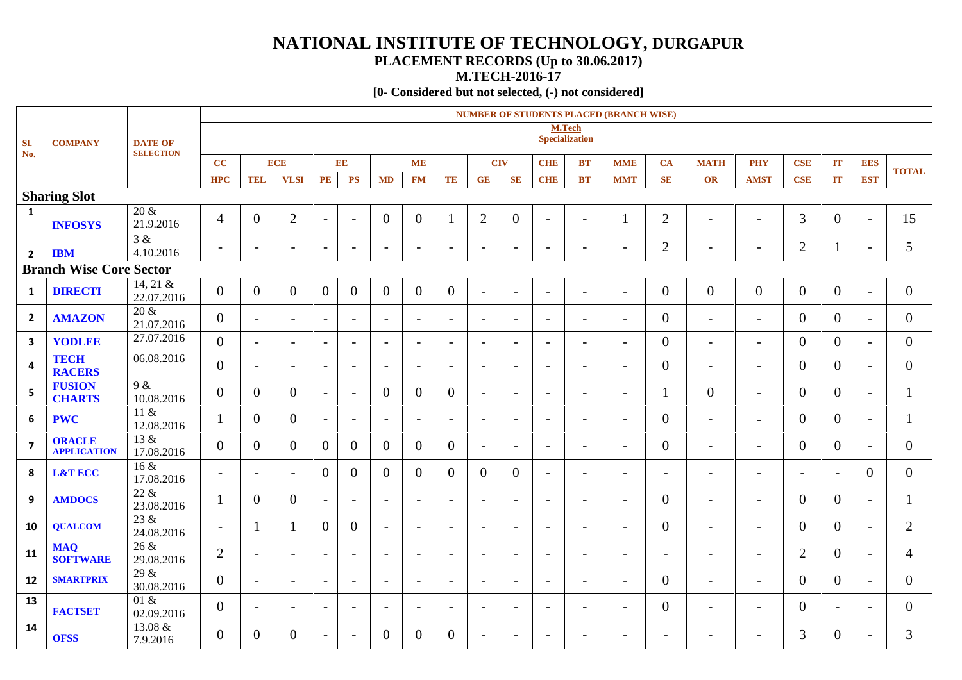# **NATIONAL INSTITUTE OF TECHNOLOGY, DURGAPUR**

## **PLACEMENT RECORDS (Up to 30.06.2017)**

**M.TECH-2016-17**

**[0- Considered but not selected, (-) not considered]**

|                         |                                                      |                                 |                          | <b>NUMBER OF STUDENTS PLACED (BRANCH WISE)</b> |                          |                          |                          |                          |                          |                          |                          |                          |                          |                          |                          |                          |                          |                          |                          |                          |                          |                |
|-------------------------|------------------------------------------------------|---------------------------------|--------------------------|------------------------------------------------|--------------------------|--------------------------|--------------------------|--------------------------|--------------------------|--------------------------|--------------------------|--------------------------|--------------------------|--------------------------|--------------------------|--------------------------|--------------------------|--------------------------|--------------------------|--------------------------|--------------------------|----------------|
| Sl.<br>No.              | <b>COMPANY</b><br><b>DATE OF</b><br><b>SELECTION</b> |                                 |                          |                                                |                          |                          |                          |                          |                          |                          |                          | <b>Specialization</b>    | <b>M.Tech</b>            |                          |                          |                          |                          |                          |                          |                          |                          |                |
|                         |                                                      |                                 | CC                       |                                                | <b>ECE</b>               |                          | EE                       |                          | <b>ME</b>                |                          | <b>CIV</b>               |                          | <b>CHIE</b>              | <b>BT</b>                | <b>MME</b>               | CA                       | <b>MATH</b>              | <b>PHY</b>               | <b>CSE</b>               | IT                       | <b>EES</b>               | <b>TOTAL</b>   |
|                         |                                                      |                                 | <b>HPC</b>               | <b>TEL</b>                                     | <b>VLSI</b>              | PE                       | <b>PS</b>                | <b>MD</b>                | <b>FM</b>                | TE                       | GE                       | <b>SE</b>                | <b>CHE</b>               | <b>BT</b>                | <b>MMT</b>               | SE                       | OR                       | <b>AMST</b>              | <b>CSE</b>               | IT                       | <b>EST</b>               |                |
|                         | <b>Sharing Slot</b>                                  |                                 |                          |                                                |                          |                          |                          |                          |                          |                          |                          |                          |                          |                          |                          |                          |                          |                          |                          |                          |                          |                |
| 1                       | <b>INFOSYS</b>                                       | $20 \&$<br>21.9.2016            | 4                        | $\Omega$                                       | $\overline{2}$           | $\overline{\phantom{a}}$ | $\overline{\phantom{a}}$ | $\overline{0}$           | $\overline{0}$           |                          | $\overline{2}$           | $\overline{0}$           | $\overline{\phantom{a}}$ | $\overline{\phantom{a}}$ |                          | 2                        | $\overline{\phantom{0}}$ | $\overline{\phantom{a}}$ | 3                        | $\overline{0}$           | $\overline{\phantom{a}}$ | 15             |
| $\overline{2}$          | <b>IBM</b>                                           | 3 &<br>4.10.2016                | $\overline{\phantom{a}}$ | $\overline{\phantom{0}}$                       | $\overline{\phantom{0}}$ | $\sim$                   | $\overline{\phantom{a}}$ | $\overline{\phantom{0}}$ | $\overline{\phantom{a}}$ | $\overline{\phantom{a}}$ | $\overline{\phantom{a}}$ | $\overline{\phantom{a}}$ | $\overline{\phantom{a}}$ | $\overline{\phantom{a}}$ | $\overline{\phantom{0}}$ | $\overline{2}$           | $\overline{\phantom{0}}$ | $\overline{\phantom{a}}$ | $\overline{2}$           | $\overline{\phantom{0}}$ | $\overline{a}$           | 5              |
|                         | <b>Branch Wise Core Sector</b>                       |                                 |                          |                                                |                          |                          |                          |                          |                          |                          |                          |                          |                          |                          |                          |                          |                          |                          |                          |                          |                          |                |
| 1                       | <b>DIRECTI</b>                                       | 14, 21 $&$<br>22.07.2016        | $\Omega$                 | $\theta$                                       | $\overline{0}$           | $\mathbf{0}$             | $\overline{0}$           | $\theta$                 | $\overline{0}$           | $\overline{0}$           | $\overline{\phantom{a}}$ | $\overline{\phantom{a}}$ | $\overline{\phantom{a}}$ | $\sim$                   | $\overline{\phantom{0}}$ | $\Omega$                 | $\overline{0}$           | $\mathbf{0}$             | $\theta$                 | $\overline{0}$           | $\overline{\phantom{a}}$ | $\overline{0}$ |
| $\overline{2}$          | <b>AMAZON</b>                                        | $20\;\mathrm{\&}$<br>21.07.2016 | $\overline{0}$           | $\overline{\phantom{0}}$                       | $\overline{\phantom{0}}$ | $\sim$                   | $\overline{\phantom{a}}$ | $\equiv$                 | $\overline{\phantom{a}}$ | $\sim$                   | $\overline{\phantom{0}}$ | $\overline{\phantom{a}}$ | $\overline{\phantom{0}}$ | $\overline{\phantom{0}}$ | $\overline{a}$           | $\overline{0}$           | $\overline{a}$           | $\overline{a}$           | $\Omega$                 | $\overline{0}$           | $\sim$                   | $\overline{0}$ |
| 3                       | YODLEE                                               | 27.07.2016                      | $\Omega$                 | $\overline{\phantom{a}}$                       | $\overline{\phantom{0}}$ | $\sim$                   | $\overline{\phantom{a}}$ | $\overline{\phantom{a}}$ | $\overline{\phantom{a}}$ | $\overline{\phantom{a}}$ | $\overline{\phantom{a}}$ | $\overline{\phantom{a}}$ | $\overline{\phantom{a}}$ | $\overline{\phantom{a}}$ | $\overline{\phantom{0}}$ | $\Omega$                 | $\overline{\phantom{a}}$ | $\blacksquare$           | $\overline{0}$           | $\overline{0}$           | $\blacksquare$           | $\overline{0}$ |
| 4                       | <b>TECH</b><br><b>RACERS</b>                         | 06.08.2016                      | $\overline{0}$           | $\overline{\phantom{a}}$                       | $\overline{\phantom{0}}$ | $\overline{\phantom{a}}$ | $\sim$                   | $\overline{\phantom{a}}$ | $\overline{\phantom{a}}$ | $\overline{\phantom{a}}$ | $\blacksquare$           | $\overline{\phantom{a}}$ | $\blacksquare$           | $\blacksquare$           | $\overline{\phantom{0}}$ | $\Omega$                 | $\overline{\phantom{a}}$ | $\overline{\phantom{a}}$ | $\Omega$                 | $\Omega$                 | $\blacksquare$           | $\overline{0}$ |
| 5                       | <b>FUSION</b><br><b>CHARTS</b>                       | 9 &<br>10.08.2016               | $\Omega$                 | $\Omega$                                       | $\overline{0}$           | $\mathbf{L}$             | $\sim$                   | $\Omega$                 | $\theta$                 | $\overline{0}$           | $\overline{\phantom{a}}$ | $\overline{\phantom{a}}$ | $\overline{\phantom{a}}$ | $\overline{\phantom{a}}$ | $\blacksquare$           |                          | $\overline{0}$           | $\overline{\phantom{a}}$ | $\Omega$                 | $\theta$                 | $\overline{a}$           | 1              |
| 6                       | <b>PWC</b>                                           | $11 \&$<br>12.08.2016           |                          | $\Omega$                                       | $\overline{0}$           | $\overline{\phantom{a}}$ | $\overline{\phantom{a}}$ | $\overline{\phantom{a}}$ | $\overline{\phantom{a}}$ | $\sim$                   | $\overline{\phantom{a}}$ | $\overline{\phantom{a}}$ | $\overline{\phantom{0}}$ | $\overline{\phantom{a}}$ | $\overline{a}$           | $\overline{0}$           | $\overline{a}$           | $\blacksquare$           | $\Omega$                 | $\mathbf{0}$             | $\sim$                   | 1              |
| $\overline{\mathbf{z}}$ | <b>ORACLE</b><br><b>APPLICATION</b>                  | 13 &<br>17.08.2016              | $\overline{0}$           | $\Omega$                                       | $\overline{0}$           | $\boldsymbol{0}$         | $\theta$                 | $\Omega$                 | $\theta$                 | $\overline{0}$           | $\overline{\phantom{a}}$ | $\overline{\phantom{a}}$ | $\overline{\phantom{a}}$ | $\overline{\phantom{a}}$ | $\overline{\phantom{0}}$ | $\Omega$                 | $\overline{a}$           | $\overline{\phantom{a}}$ | $\theta$                 | $\theta$                 | $\sim$                   | $\overline{0}$ |
| 8                       | <b>L&amp;T ECC</b>                                   | 16 &<br>17.08.2016              | $\overline{\phantom{0}}$ | $\overline{\phantom{a}}$                       | $\overline{\phantom{0}}$ | $\overline{0}$           | $\theta$                 | $\Omega$                 | $\theta$                 | $\overline{0}$           | $\Omega$                 | $\overline{0}$           | $\overline{\phantom{a}}$ | $\overline{\phantom{a}}$ | $\overline{\phantom{0}}$ | $\overline{\phantom{0}}$ | $\overline{\phantom{0}}$ | $\overline{\phantom{a}}$ | $\overline{\phantom{0}}$ | $\sim$                   | $\Omega$                 | $\overline{0}$ |
| 9                       | <b>AMDOCS</b>                                        | 22 &<br>23.08.2016              |                          | $\Omega$                                       | $\overline{0}$           | $\sim$                   | $\overline{\phantom{a}}$ | $\overline{\phantom{0}}$ | $\overline{\phantom{a}}$ | $\sim$                   | $\overline{\phantom{a}}$ | $\blacksquare$           | $\overline{\phantom{a}}$ | $\overline{\phantom{a}}$ | $\blacksquare$           | $\Omega$                 | $\overline{\phantom{0}}$ | $\overline{\phantom{a}}$ | $\Omega$                 | $\theta$                 | $-$                      | 1              |
| 10                      | <b>QUALCOM</b>                                       | 23 &<br>24.08.2016              | $\overline{a}$           |                                                | -1                       | $\mathbf{0}$             | $\overline{0}$           | $\sim$                   | $\overline{\phantom{a}}$ | $\overline{\phantom{0}}$ | $\overline{\phantom{a}}$ | $\blacksquare$           | $\overline{\phantom{a}}$ | $\overline{\phantom{a}}$ | $\overline{\phantom{0}}$ | $\overline{0}$           | $\overline{a}$           | $\blacksquare$           | $\theta$                 | $\overline{0}$           | $\overline{a}$           | $\overline{2}$ |
| 11                      | <b>MAQ</b><br><b>SOFTWARE</b>                        | 26 &<br>29.08.2016              | $\overline{2}$           | $\overline{\phantom{0}}$                       | $\overline{\phantom{0}}$ | $\sim$                   | $\sim$                   | $-$                      | $\overline{\phantom{a}}$ | $\sim$                   | $\overline{\phantom{a}}$ | $\overline{\phantom{a}}$ | $\overline{\phantom{a}}$ | $\overline{\phantom{a}}$ | $\overline{\phantom{0}}$ | $\overline{a}$           | $\overline{a}$           | $\overline{\phantom{a}}$ | $\overline{2}$           | $\theta$                 | $\overline{a}$           | $\overline{4}$ |
| 12                      | <b>SMARTPRIX</b>                                     | 29 &<br>30.08.2016              | $\Omega$                 | $\sim$                                         | $\overline{\phantom{a}}$ | $\sim$                   | $\overline{\phantom{a}}$ | $\overline{\phantom{a}}$ | $\overline{\phantom{a}}$ | $\sim$                   | $\blacksquare$           | $\overline{\phantom{a}}$ | $\overline{\phantom{a}}$ | $\overline{\phantom{a}}$ | $\overline{a}$           | $\Omega$                 | $\overline{a}$           | $\blacksquare$           | $\Omega$                 | $\overline{0}$           | $\blacksquare$           | $\overline{0}$ |
| 13                      | <b>FACTSET</b>                                       | 01 &<br>02.09.2016              | $\overline{0}$           | $\overline{\phantom{a}}$                       | $\overline{\phantom{0}}$ | $\sim$                   | $\overline{\phantom{a}}$ | $\overline{\phantom{a}}$ | $\overline{\phantom{a}}$ | $\sim$                   | $\overline{\phantom{a}}$ | $\overline{\phantom{a}}$ | $\overline{\phantom{a}}$ | $\overline{\phantom{a}}$ | $\overline{a}$           | $\Omega$                 | $\overline{\phantom{0}}$ | $\overline{\phantom{a}}$ | $\theta$                 | $\overline{\phantom{a}}$ | $\overline{\phantom{0}}$ | $\overline{0}$ |
| 14                      | <b>OFSS</b>                                          | 13.08 &<br>7.9.2016             | 0                        | $\Omega$                                       | $\theta$                 | $\blacksquare$           | $\overline{\phantom{a}}$ | $\Omega$                 | $\theta$                 | $\overline{0}$           | $\overline{\phantom{a}}$ | $\overline{\phantom{a}}$ | $\overline{\phantom{a}}$ | $\overline{\phantom{0}}$ | $\overline{\phantom{0}}$ | $\overline{\phantom{0}}$ | $\overline{\phantom{0}}$ | $\overline{\phantom{a}}$ | 3                        | $\theta$                 | $\overline{\phantom{0}}$ | 3              |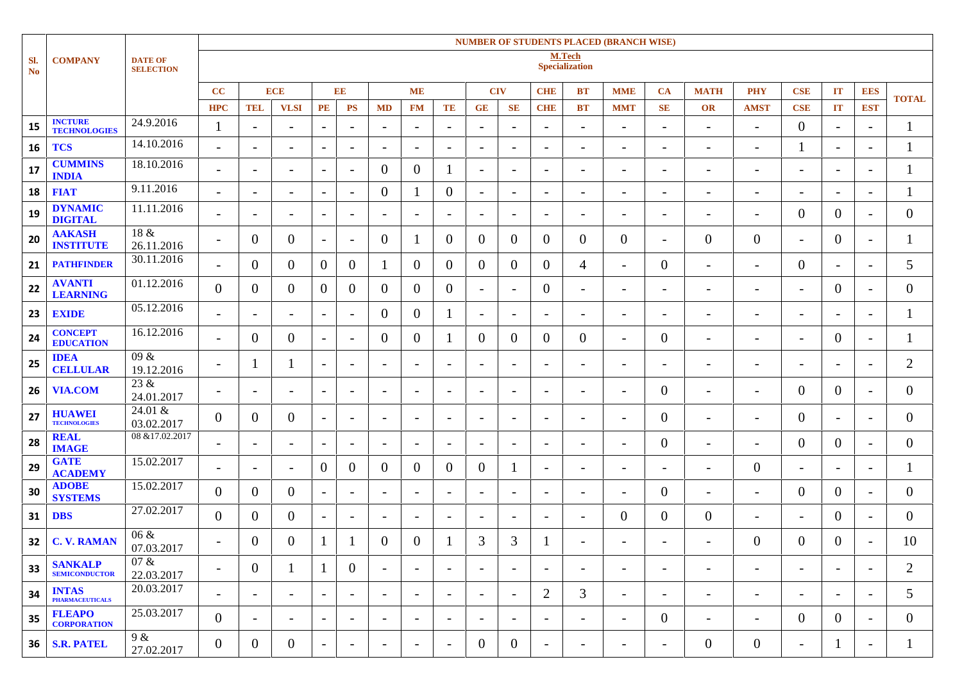|                  |                                        |                                    |                          | <b>NUMBER OF STUDENTS PLACED (BRANCH WISE)</b> |                          |                          |                          |                          |                          |                          |                          |                          |                          |                          |                              |                          |                          |                          |                          |                          |                          |                |  |
|------------------|----------------------------------------|------------------------------------|--------------------------|------------------------------------------------|--------------------------|--------------------------|--------------------------|--------------------------|--------------------------|--------------------------|--------------------------|--------------------------|--------------------------|--------------------------|------------------------------|--------------------------|--------------------------|--------------------------|--------------------------|--------------------------|--------------------------|----------------|--|
| Sl.<br><b>No</b> | <b>COMPANY</b>                         | <b>DATE OF</b><br><b>SELECTION</b> |                          | M.Tech<br><b>Specialization</b>                |                          |                          |                          |                          |                          |                          |                          |                          |                          |                          |                              |                          |                          |                          |                          |                          |                          |                |  |
|                  |                                        |                                    | CC                       |                                                | <b>ECE</b>               |                          | EE                       |                          | <b>ME</b>                |                          | <b>CIV</b>               |                          | <b>CHE</b>               | <b>BT</b>                | <b>MME</b>                   | <b>CA</b>                | <b>MATH</b>              | <b>PHY</b>               | <b>CSE</b>               | IT                       | <b>EES</b>               | <b>TOTAL</b>   |  |
|                  |                                        |                                    | <b>HPC</b>               | <b>TEL</b>                                     | <b>VLSI</b>              | PE                       | <b>PS</b>                | <b>MD</b>                | <b>FM</b>                | TE                       | GE                       | SE                       | <b>CHE</b>               | <b>BT</b>                | <b>MMT</b>                   | <b>SE</b>                | <b>OR</b>                | <b>AMST</b>              | <b>CSE</b>               | IT                       | <b>EST</b>               |                |  |
| 15               | <b>INCTURE</b><br><b>TECHNOLOGIES</b>  | 24.9.2016                          | 1                        | $\overline{\phantom{a}}$                       | $\overline{\phantom{a}}$ | $\overline{\phantom{a}}$ | $\overline{\phantom{a}}$ | $\overline{\phantom{a}}$ | $\overline{\phantom{a}}$ | $\overline{\phantom{a}}$ | $\overline{\phantom{a}}$ | $\overline{a}$           | $\overline{\phantom{a}}$ | $\overline{\phantom{a}}$ | $\overline{\phantom{a}}$     | $\overline{\phantom{a}}$ | $\overline{\phantom{a}}$ | $\overline{\phantom{a}}$ | $\overline{0}$           | $\overline{\phantom{a}}$ | $\overline{\phantom{a}}$ |                |  |
| 16               | <b>TCS</b>                             | 14.10.2016                         | $\overline{\phantom{a}}$ | $\overline{\phantom{0}}$                       | $\overline{\phantom{a}}$ | $\overline{\phantom{a}}$ | $\overline{\phantom{a}}$ | $\overline{\phantom{a}}$ | $\overline{\phantom{a}}$ | $\overline{\phantom{a}}$ | $\overline{\phantom{a}}$ | $\qquad \qquad$          | $\overline{\phantom{a}}$ | $\sim$                   | $\overline{\phantom{a}}$     | $\overline{\phantom{a}}$ | $\overline{\phantom{a}}$ | $\overline{\phantom{a}}$ |                          | $\overline{\phantom{a}}$ | $\overline{\phantom{a}}$ |                |  |
| 17               | <b>CUMMINS</b><br><b>INDIA</b>         | 18.10.2016                         | $\overline{\phantom{a}}$ | $\overline{\phantom{a}}$                       | $\overline{\phantom{a}}$ | $\overline{\phantom{a}}$ | $\overline{\phantom{0}}$ | $\theta$                 | $\overline{0}$           |                          | $\overline{\phantom{a}}$ | $\overline{\phantom{0}}$ | $\overline{\phantom{a}}$ | $\overline{\phantom{a}}$ | $\overline{\phantom{a}}$     | $\overline{\phantom{0}}$ | $\overline{\phantom{a}}$ | $\overline{\phantom{a}}$ | $\overline{a}$           | $\overline{\phantom{a}}$ | $\overline{\phantom{a}}$ |                |  |
| 18               | <b>FIAT</b>                            | 9.11.2016                          | $\overline{\phantom{a}}$ | $\overline{\phantom{a}}$                       | $\overline{\phantom{a}}$ | $\overline{\phantom{a}}$ | $\overline{\phantom{a}}$ | $\overline{0}$           |                          | $\Omega$                 | $\overline{\phantom{a}}$ | $\qquad \qquad$          | $\overline{\phantom{a}}$ | $\overline{\phantom{a}}$ | $\overline{\phantom{a}}$     | $\overline{\phantom{a}}$ | $\overline{\phantom{a}}$ | $\overline{\phantom{a}}$ | $\overline{\phantom{a}}$ | $\blacksquare$           | $\overline{\phantom{a}}$ |                |  |
| 19               | <b>DYNAMIC</b><br><b>DIGITAL</b>       | 11.11.2016                         | $\overline{\phantom{a}}$ | $\overline{\phantom{a}}$                       | $\overline{\phantom{a}}$ | $\overline{\phantom{0}}$ | $\overline{\phantom{a}}$ | $\overline{\phantom{a}}$ | $\overline{\phantom{a}}$ | $\overline{\phantom{a}}$ | $\sim$                   | $\overline{\phantom{a}}$ | $\overline{\phantom{a}}$ | $\overline{\phantom{a}}$ | $\blacksquare$               | $\overline{\phantom{0}}$ | $\overline{\phantom{a}}$ | $\overline{\phantom{a}}$ | $\overline{0}$           | $\overline{0}$           | $\overline{\phantom{a}}$ | 0              |  |
| 20               | <b>AAKASH</b><br><b>INSTITUTE</b>      | 18 &<br>26.11.2016                 | $\overline{\phantom{a}}$ | $\theta$                                       | $\overline{0}$           | $\overline{\phantom{0}}$ | $\overline{\phantom{a}}$ | $\overline{0}$           |                          | $\theta$                 | $\overline{0}$           | $\theta$                 | $\overline{0}$           | $\boldsymbol{0}$         | $\overline{0}$               | $\overline{\phantom{0}}$ | $\overline{0}$           | $\overline{0}$           | $\overline{\phantom{a}}$ | $\overline{0}$           | $\overline{\phantom{a}}$ |                |  |
| 21               | <b>PATHFINDER</b>                      | 30.11.2016                         | $\overline{\phantom{a}}$ | $\overline{0}$                                 | $\overline{0}$           | $\overline{0}$           | $\overline{0}$           |                          | $\overline{0}$           | $\theta$                 | $\overline{0}$           | $\overline{0}$           | $\overline{0}$           | 4                        | $\overline{\phantom{a}}$     | $\overline{0}$           | $\overline{\phantom{a}}$ | $\overline{\phantom{a}}$ | $\overline{0}$           | $\overline{\phantom{a}}$ | $\overline{\phantom{a}}$ | 5              |  |
| 22               | <b>AVANTI</b><br><b>LEARNING</b>       | 01.12.2016                         | $\overline{0}$           | $\overline{0}$                                 | $\overline{0}$           | $\theta$                 | $\Omega$                 | $\overline{0}$           | $\overline{0}$           | $\theta$                 | $\sim$                   | $\overline{\phantom{a}}$ | $\overline{0}$           | $\overline{\phantom{a}}$ | $\overline{\phantom{a}}$     | $\overline{\phantom{a}}$ | $\overline{\phantom{a}}$ | $\overline{\phantom{a}}$ | $\overline{\phantom{0}}$ | $\overline{0}$           | $\overline{\phantom{a}}$ | 0              |  |
| 23               | <b>EXIDE</b>                           | 05.12.2016                         | $\overline{\phantom{a}}$ | $\overline{\phantom{a}}$                       | $\overline{\phantom{a}}$ | $\overline{\phantom{a}}$ | $\overline{\phantom{0}}$ | $\overline{0}$           | $\overline{0}$           |                          | $\overline{\phantom{a}}$ | $\overline{a}$           | $\overline{\phantom{a}}$ | $\blacksquare$           | $\overline{\phantom{a}}$     | $\overline{\phantom{0}}$ | $\overline{\phantom{a}}$ | $\overline{\phantom{a}}$ | $\overline{a}$           | $\overline{\phantom{a}}$ | $\overline{\phantom{a}}$ |                |  |
| 24               | <b>CONCEPT</b><br><b>EDUCATION</b>     | 16.12.2016                         | $\overline{\phantom{a}}$ | $\overline{0}$                                 | $\overline{0}$           | $\overline{\phantom{0}}$ | $\overline{\phantom{a}}$ | $\theta$                 | $\overline{0}$           |                          | $\overline{0}$           | $\Omega$                 | $\overline{0}$           | $\boldsymbol{0}$         | $\overline{\phantom{0}}$     | $\overline{0}$           | $\overline{\phantom{a}}$ | $\overline{\phantom{0}}$ | $\overline{\phantom{0}}$ | $\theta$                 | $\overline{\phantom{a}}$ |                |  |
| 25               | <b>IDEA</b><br><b>CELLULAR</b>         | 09 &<br>19.12.2016                 | $\overline{\phantom{a}}$ |                                                |                          | $\overline{\phantom{a}}$ | $\overline{\phantom{a}}$ | $\sim$                   | $\overline{\phantom{a}}$ | $\overline{\phantom{a}}$ | $\blacksquare$           | $\overline{\phantom{a}}$ | $\overline{\phantom{a}}$ | $\overline{\phantom{a}}$ | $\overline{\phantom{a}}$     | $\overline{\phantom{a}}$ | $\overline{\phantom{a}}$ | $\overline{\phantom{a}}$ | $\overline{\phantom{a}}$ | $\blacksquare$           | $\overline{\phantom{a}}$ | $\overline{2}$ |  |
| 26               | <b>VIA.COM</b>                         | 23 &<br>24.01.2017                 | $\overline{\phantom{a}}$ | $\overline{\phantom{a}}$                       | $\overline{\phantom{a}}$ | $\overline{\phantom{0}}$ | $\overline{\phantom{a}}$ | $\overline{\phantom{a}}$ | $\overline{\phantom{a}}$ | $\overline{\phantom{a}}$ | $\overline{\phantom{a}}$ | $\qquad \qquad$          | $\overline{\phantom{a}}$ | $\overline{\phantom{a}}$ | $\qquad \qquad \blacksquare$ | $\theta$                 | $\overline{\phantom{a}}$ | $\overline{\phantom{a}}$ | $\theta$                 | $\overline{0}$           | $\overline{\phantom{a}}$ | 0              |  |
| 27               | <b>HUAWEI</b><br><b>TECHNOLOGIES</b>   | 24.01 &<br>03.02.2017              | $\overline{0}$           | $\overline{0}$                                 | $\overline{0}$           | $\overline{\phantom{0}}$ | $\overline{\phantom{a}}$ | $\overline{\phantom{a}}$ | $\overline{\phantom{a}}$ | $\overline{\phantom{a}}$ | $\overline{\phantom{a}}$ | $\overline{a}$           | $\overline{\phantom{a}}$ | $\overline{\phantom{0}}$ | $\overline{\phantom{a}}$     | $\overline{0}$           | $\overline{\phantom{a}}$ | $\overline{\phantom{a}}$ | $\overline{0}$           | $\overline{\phantom{a}}$ | $\overline{\phantom{a}}$ | 0              |  |
| 28               | <b>REAL</b><br><b>IMAGE</b>            | 08 & 17.02.2017                    | $\overline{\phantom{a}}$ | $\overline{\phantom{a}}$                       | $\overline{\phantom{a}}$ | $\overline{\phantom{a}}$ | $\overline{\phantom{0}}$ | $\overline{\phantom{a}}$ | $\overline{\phantom{a}}$ | $\overline{\phantom{a}}$ | $\overline{\phantom{a}}$ | $\overline{a}$           | $\overline{\phantom{a}}$ | $\overline{\phantom{a}}$ | $\overline{\phantom{0}}$     | $\overline{0}$           | $\overline{\phantom{a}}$ | $\overline{\phantom{0}}$ | $\theta$                 | $\overline{0}$           | $\overline{\phantom{a}}$ | 0              |  |
| 29               | <b>GATE</b><br><b>ACADEMY</b>          | 15.02.2017                         | $\overline{\phantom{a}}$ | $\overline{\phantom{a}}$                       | $\overline{\phantom{a}}$ | $\theta$                 | $\Omega$                 | $\theta$                 | $\overline{0}$           | $\theta$                 | $\overline{0}$           |                          | $\overline{\phantom{a}}$ | $\overline{\phantom{a}}$ | $\overline{\phantom{a}}$     | $\overline{\phantom{a}}$ | $\overline{\phantom{a}}$ | $\boldsymbol{0}$         | $\overline{\phantom{0}}$ | $\overline{\phantom{a}}$ | $\overline{\phantom{a}}$ |                |  |
| 30               | <b>ADOBE</b><br><b>SYSTEMS</b>         | 15.02.2017                         | $\overline{0}$           | $\overline{0}$                                 | $\overline{0}$           | $\overline{\phantom{a}}$ | $\overline{\phantom{a}}$ | $\qquad \qquad$          | $\overline{\phantom{a}}$ |                          | $\overline{\phantom{a}}$ | $\overline{\phantom{a}}$ | $\overline{\phantom{a}}$ | $\overline{\phantom{a}}$ | $\overline{\phantom{a}}$     | $\overline{0}$           | $\overline{\phantom{a}}$ | $\overline{\phantom{0}}$ | $\overline{0}$           | $\overline{0}$           | $\overline{\phantom{a}}$ | 0              |  |
| 31               | <b>DBS</b>                             | 27.02.2017                         | $\overline{0}$           | $\overline{0}$                                 | $\overline{0}$           | $\overline{\phantom{0}}$ | $\overline{\phantom{a}}$ | $\overline{\phantom{a}}$ | $\overline{\phantom{a}}$ | $\overline{\phantom{a}}$ | $\blacksquare$           | $\overline{a}$           | $\overline{\phantom{a}}$ | $\overline{\phantom{a}}$ | $\theta$                     | $\theta$                 | $\overline{0}$           | $\overline{\phantom{a}}$ | $\overline{\phantom{0}}$ | $\theta$                 | $\overline{\phantom{a}}$ | 0              |  |
|                  | <b>32 C.V. RAMAN</b>                   | $06 \&$<br>07.03.2017              | $\overline{\phantom{a}}$ | $\Omega$                                       | 0                        |                          |                          | $\Omega$                 | $\Omega$                 |                          | 3                        | 3                        |                          | $\overline{\phantom{a}}$ |                              | $\overline{\phantom{a}}$ | $\overline{\phantom{a}}$ | $\Omega$                 | 0                        | $\theta$                 |                          | 10             |  |
| 33               | <b>SANKALP</b><br><b>SEMICONDUCTOR</b> | 07 &<br>22.03.2017                 | $\overline{\phantom{a}}$ | $\overline{0}$                                 | $\perp$                  | -1                       | $\theta$                 | $\overline{\phantom{a}}$ | $\overline{\phantom{a}}$ | $\overline{\phantom{a}}$ | $\sim$                   | $\overline{\phantom{a}}$ | $\overline{\phantom{a}}$ | $\overline{\phantom{a}}$ | $\overline{\phantom{a}}$     | $\overline{\phantom{a}}$ | $\overline{\phantom{a}}$ | $\overline{\phantom{a}}$ | $\overline{\phantom{a}}$ | $\overline{\phantom{a}}$ | $\overline{\phantom{a}}$ | $\overline{2}$ |  |
| 34               | <b>INTAS</b><br><b>PHARMACEUTICALS</b> | 20.03.2017                         | $\overline{\phantom{a}}$ | $\overline{\phantom{0}}$                       | $\overline{\phantom{a}}$ | $\overline{\phantom{a}}$ | $\overline{\phantom{a}}$ | $\overline{\phantom{0}}$ | $\overline{\phantom{a}}$ | $\overline{\phantom{a}}$ | $\overline{\phantom{a}}$ | $\overline{\phantom{a}}$ | $\overline{2}$           | 3                        | $\overline{\phantom{a}}$     | $\overline{\phantom{0}}$ | $\overline{\phantom{a}}$ | $\overline{\phantom{a}}$ | $\overline{\phantom{a}}$ | $\overline{\phantom{a}}$ | $\overline{\phantom{a}}$ | 5              |  |
| 35               | <b>FLEAPO</b><br><b>CORPORATION</b>    | 25.03.2017                         | $\overline{0}$           | $\blacksquare$                                 | $\overline{\phantom{a}}$ | $\overline{\phantom{a}}$ | $\overline{\phantom{a}}$ | $\overline{\phantom{a}}$ | $\overline{\phantom{a}}$ | $\overline{\phantom{a}}$ | $\blacksquare$           | $\overline{\phantom{a}}$ | $\overline{\phantom{a}}$ | $\overline{\phantom{a}}$ | $\overline{\phantom{a}}$     | $\theta$                 | $\overline{\phantom{a}}$ | $\overline{a}$           | $\theta$                 | $\theta$                 | $\overline{\phantom{a}}$ | 0              |  |
| 36               | <b>S.R. PATEL</b>                      | 9 &<br>27.02.2017                  | $\overline{0}$           | $\overline{0}$                                 | $\overline{0}$           | $\overline{\phantom{a}}$ | $\overline{\phantom{a}}$ | $\overline{\phantom{a}}$ | $\overline{\phantom{a}}$ | $\overline{\phantom{a}}$ | $\overline{0}$           | $\theta$                 | $\overline{\phantom{a}}$ | $\overline{\phantom{a}}$ | $\qquad \qquad \blacksquare$ | $\overline{\phantom{a}}$ | $\overline{0}$           | $\overline{0}$           | $\overline{\phantom{a}}$ | -1                       | $\blacksquare$           |                |  |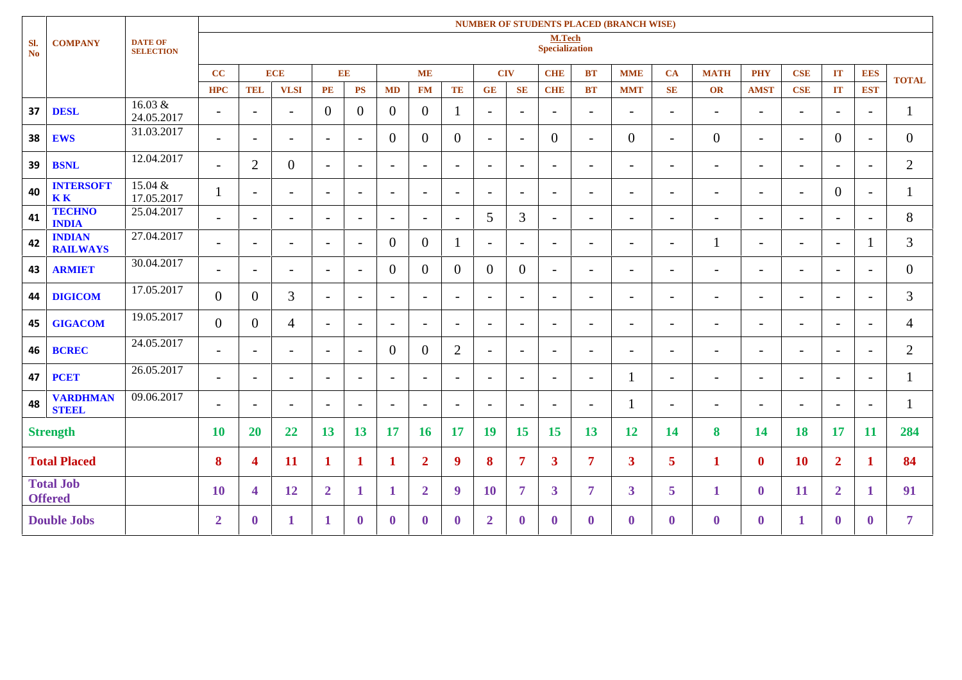| <b>NUMBER OF STUDENTS PLACED (BRANCH WISE)</b> |                                    |                                    |                          |                                 |                          |                          |                          |                          |                          |                          |                          |                          |                          |                          |                          |                          |                          |                          |                          |                          |                          |                |
|------------------------------------------------|------------------------------------|------------------------------------|--------------------------|---------------------------------|--------------------------|--------------------------|--------------------------|--------------------------|--------------------------|--------------------------|--------------------------|--------------------------|--------------------------|--------------------------|--------------------------|--------------------------|--------------------------|--------------------------|--------------------------|--------------------------|--------------------------|----------------|
| SI.<br><b>No</b>                               | <b>COMPANY</b>                     | <b>DATE OF</b><br><b>SELECTION</b> |                          | M.Tech<br><b>Specialization</b> |                          |                          |                          |                          |                          |                          |                          |                          |                          |                          |                          |                          |                          |                          |                          |                          |                          |                |
|                                                |                                    |                                    | $\overline{\mathbf{c}}$  |                                 | <b>ECE</b>               | EE                       |                          |                          | <b>ME</b>                |                          | <b>CIV</b>               |                          | <b>CHE</b>               | <b>BT</b>                | <b>MME</b>               | <b>CA</b>                | <b>MATH</b>              | <b>PHY</b>               | <b>CSE</b>               | IT                       | <b>EES</b>               | <b>TOTAL</b>   |
|                                                |                                    |                                    | <b>HPC</b>               | <b>TEL</b>                      | <b>VLSI</b>              | <b>PE</b>                | <b>PS</b>                | <b>MD</b>                | <b>FM</b>                | TE                       | GE                       | <b>SE</b>                | <b>CHE</b>               | <b>BT</b>                | <b>MMT</b>               | <b>SE</b>                | OR                       | <b>AMST</b>              | <b>CSE</b>               | IT                       | <b>EST</b>               |                |
| 37                                             | <b>DESL</b>                        | 16.03 &<br>24.05.2017              | $\overline{\phantom{a}}$ | $\overline{\phantom{a}}$        | $\overline{\phantom{a}}$ | $\overline{0}$           | $\theta$                 | $\overline{0}$           | $\overline{0}$           | $\mathbf{1}$             | $\overline{\phantom{a}}$ | $\overline{\phantom{0}}$ | $\overline{\phantom{a}}$ | $\overline{\phantom{0}}$ | $\overline{\phantom{a}}$ | $\overline{\phantom{a}}$ | $\overline{\phantom{a}}$ | $\overline{\phantom{a}}$ | $\overline{\phantom{0}}$ | $\overline{\phantom{a}}$ | $\overline{\phantom{0}}$ | 1              |
| 38                                             | <b>EWS</b>                         | 31.03.2017                         | $\overline{\phantom{a}}$ | $\overline{\phantom{a}}$        | $\overline{\phantom{a}}$ | $\overline{\phantom{a}}$ | $\overline{\phantom{a}}$ | $\overline{0}$           | $\overline{0}$           | $\overline{0}$           | $\overline{\phantom{a}}$ | $\overline{\phantom{a}}$ | $\overline{0}$           | $\blacksquare$           | $\overline{0}$           | $\overline{a}$           | $\overline{0}$           | $\overline{\phantom{a}}$ | $\overline{\phantom{a}}$ | $\overline{0}$           | $\overline{\phantom{a}}$ | $\overline{0}$ |
| 39                                             | <b>BSNL</b>                        | 12.04.2017                         | $\overline{\phantom{a}}$ | $\overline{2}$                  | $\overline{0}$           | $\sim$                   | $\overline{\phantom{a}}$ | $\overline{\phantom{a}}$ | $\overline{\phantom{0}}$ | $\sim$                   | $\overline{\phantom{a}}$ | $\overline{\phantom{a}}$ | $\overline{\phantom{a}}$ | $\overline{\phantom{0}}$ | $\overline{\phantom{a}}$ | $\equiv$                 | $\overline{\phantom{a}}$ | $\blacksquare$           | $\blacksquare$           | $\overline{\phantom{a}}$ | $\overline{\phantom{a}}$ | $\overline{2}$ |
| 40                                             | <b>INTERSOFT</b><br><b>KK</b>      | 15.04 &<br>17.05.2017              |                          | $\overline{\phantom{a}}$        | $\overline{\phantom{a}}$ | $\overline{\phantom{a}}$ | $\overline{\phantom{a}}$ | $\overline{\phantom{a}}$ | $\overline{\phantom{a}}$ | $\overline{\phantom{a}}$ | $\overline{\phantom{a}}$ | $\sim$                   | $\overline{\phantom{0}}$ | $\overline{\phantom{a}}$ | $\overline{\phantom{a}}$ | $\overline{\phantom{a}}$ | $\blacksquare$           | $\overline{\phantom{a}}$ | $\overline{\phantom{0}}$ | $\overline{0}$           | $\overline{\phantom{a}}$ | $\mathbf{I}$   |
| 41                                             | <b>TECHNO</b><br><b>INDIA</b>      | 25.04.2017                         | $\overline{\phantom{0}}$ | $\overline{\phantom{a}}$        | $\overline{\phantom{a}}$ | $\overline{\phantom{a}}$ | $\overline{\phantom{a}}$ | $\overline{\phantom{a}}$ | $\overline{\phantom{0}}$ | $\overline{\phantom{a}}$ | 5                        | 3                        | $\overline{\phantom{a}}$ | $\overline{\phantom{0}}$ | $\overline{\phantom{a}}$ | $\overline{\phantom{a}}$ | $\overline{\phantom{a}}$ | $\overline{\phantom{0}}$ | $\overline{\phantom{a}}$ | $\overline{\phantom{a}}$ | $\overline{\phantom{a}}$ | 8              |
| 42                                             | <b>INDIAN</b><br><b>RAILWAYS</b>   | 27.04.2017                         | $\overline{\phantom{a}}$ | $\overline{\phantom{a}}$        | $\overline{\phantom{a}}$ | $\overline{\phantom{a}}$ | $\overline{\phantom{a}}$ | $\overline{0}$           | $\overline{0}$           | $\mathbf{I}$             | $\overline{\phantom{a}}$ | $\overline{\phantom{0}}$ | $\overline{\phantom{a}}$ | $\overline{\phantom{a}}$ | $\overline{\phantom{a}}$ | $\overline{\phantom{a}}$ |                          | $\overline{\phantom{a}}$ | $\overline{\phantom{0}}$ | $\overline{\phantom{a}}$ |                          | 3              |
| 43                                             | <b>ARMIET</b>                      | 30.04.2017                         | $\overline{\phantom{a}}$ | $\overline{\phantom{a}}$        | $\overline{\phantom{a}}$ | $\blacksquare$           | $\overline{\phantom{a}}$ | $\overline{0}$           | $\overline{0}$           | $\overline{0}$           | $\overline{0}$           | $\overline{0}$           | $\overline{\phantom{a}}$ | $\overline{\phantom{a}}$ | $\overline{\phantom{a}}$ | $\overline{\phantom{a}}$ | $\overline{\phantom{a}}$ | $\overline{\phantom{a}}$ | $\overline{\phantom{a}}$ | $\overline{\phantom{a}}$ | $\overline{\phantom{0}}$ | $\overline{0}$ |
| 44                                             | <b>DIGICOM</b>                     | 17.05.2017                         | $\overline{0}$           | $\overline{0}$                  | 3                        | $\overline{\phantom{a}}$ | $\overline{\phantom{a}}$ | $\overline{\phantom{a}}$ | $\overline{\phantom{0}}$ | $\overline{\phantom{a}}$ | $\overline{\phantom{a}}$ | $\sim$                   | $\overline{\phantom{a}}$ | $\overline{\phantom{a}}$ | $\overline{\phantom{a}}$ | $\overline{\phantom{a}}$ | $\overline{\phantom{a}}$ | $\overline{\phantom{a}}$ | $\overline{\phantom{0}}$ | $\overline{\phantom{a}}$ | $\overline{\phantom{a}}$ | 3              |
| 45                                             | <b>GIGACOM</b>                     | 19.05.2017                         | $\overline{0}$           | $\overline{0}$                  | $\overline{4}$           | $\overline{\phantom{a}}$ | $\overline{\phantom{a}}$ | $\overline{\phantom{a}}$ | $\overline{\phantom{a}}$ | $\sim$                   | $\overline{\phantom{a}}$ | $\sim$                   | $\overline{\phantom{a}}$ | $\overline{\phantom{a}}$ | $\overline{\phantom{a}}$ | $\overline{\phantom{a}}$ | $\overline{\phantom{a}}$ | $\overline{\phantom{a}}$ | $\overline{\phantom{0}}$ | $\overline{\phantom{a}}$ | $\overline{\phantom{a}}$ | 4              |
| 46                                             | <b>BCREC</b>                       | 24.05.2017                         | $\overline{\phantom{a}}$ | $\sim$                          | $\overline{\phantom{a}}$ | $\overline{\phantom{a}}$ | $\overline{\phantom{a}}$ | $\overline{0}$           | $\theta$                 | 2                        | $\overline{\phantom{a}}$ | $\sim$                   | $\overline{\phantom{a}}$ | $\overline{\phantom{a}}$ | $\overline{\phantom{a}}$ | $\overline{\phantom{a}}$ | $\overline{\phantom{a}}$ | $\overline{\phantom{a}}$ | $\overline{\phantom{0}}$ | $\overline{\phantom{a}}$ | $\overline{\phantom{a}}$ | $\overline{2}$ |
| 47                                             | <b>PCET</b>                        | 26.05.2017                         | $\overline{\phantom{a}}$ | $\overline{\phantom{a}}$        | $\overline{\phantom{a}}$ | $\overline{\phantom{a}}$ | $\overline{\phantom{a}}$ | $\overline{\phantom{a}}$ | $\overline{\phantom{0}}$ | $\overline{\phantom{0}}$ | $\overline{\phantom{a}}$ | $\overline{\phantom{a}}$ | $\overline{\phantom{a}}$ | $\overline{\phantom{0}}$ | $\mathbf l$              | $\equiv$                 | $\overline{\phantom{a}}$ | $\overline{\phantom{0}}$ | $\overline{\phantom{a}}$ | $\overline{\phantom{a}}$ | $\overline{\phantom{a}}$ | $\mathbf{I}$   |
| 48                                             | <b>VARDHMAN</b><br><b>STEEL</b>    | 09.06.2017                         | $\overline{\phantom{a}}$ | $\overline{\phantom{a}}$        | $\overline{\phantom{a}}$ | $\overline{\phantom{a}}$ | $\overline{\phantom{a}}$ | $\overline{\phantom{a}}$ | $\overline{\phantom{0}}$ | $\overline{\phantom{a}}$ | $\overline{\phantom{a}}$ | $\overline{\phantom{a}}$ | $\overline{\phantom{a}}$ | $\overline{\phantom{0}}$ | 1                        | $\blacksquare$           | $\overline{\phantom{a}}$ | $\overline{\phantom{a}}$ | $\overline{\phantom{0}}$ | $\overline{\phantom{a}}$ | $\overline{\phantom{a}}$ | 1              |
|                                                | <b>Strength</b>                    |                                    | <b>10</b>                | <b>20</b>                       | 22                       | 13                       | 13                       | <b>17</b>                | <b>16</b>                | <b>17</b>                | 19                       | <b>15</b>                | 15                       | 13                       | 12                       | <b>14</b>                | 8                        | 14                       | <b>18</b>                | <b>17</b>                | <b>11</b>                | 284            |
|                                                | <b>Total Placed</b>                |                                    | 8                        | $\overline{\mathbf{4}}$         | 11                       | $\mathbf{1}$             | $\mathbf 1$              | 1                        | $\mathbf{2}$             | 9                        | 8                        | 7                        | $\mathbf{3}$             | 7                        | $\mathbf{3}$             | 5 <sup>5</sup>           | $\mathbf{1}$             | $\mathbf{0}$             | <b>10</b>                | $\overline{2}$           | 1                        | 84             |
|                                                | <b>Total Job</b><br><b>Offered</b> |                                    | <b>10</b>                | $\overline{\mathbf{4}}$         | 12                       | $\overline{2}$           | 1                        | 1                        | $\overline{2}$           | 9                        | <b>10</b>                | 7                        | $\mathbf{3}$             | 7                        | $\overline{\mathbf{3}}$  | 5 <sup>5</sup>           | 1                        | $\bf{0}$                 | <b>11</b>                | $\overline{2}$           | 1                        | 91             |
|                                                | <b>Double Jobs</b>                 |                                    | $\overline{2}$           | $\mathbf{0}$                    | 1                        | 1                        | $\mathbf{0}$             | $\mathbf{0}$             | $\mathbf{0}$             | $\mathbf{0}$             | $\overline{2}$           | $\mathbf{0}$             | $\mathbf{0}$             | $\mathbf{0}$             | $\mathbf{0}$             | $\mathbf{0}$             | $\mathbf{0}$             | $\bf{0}$                 | 1                        | $\mathbf{0}$             | $\mathbf{0}$             | 7              |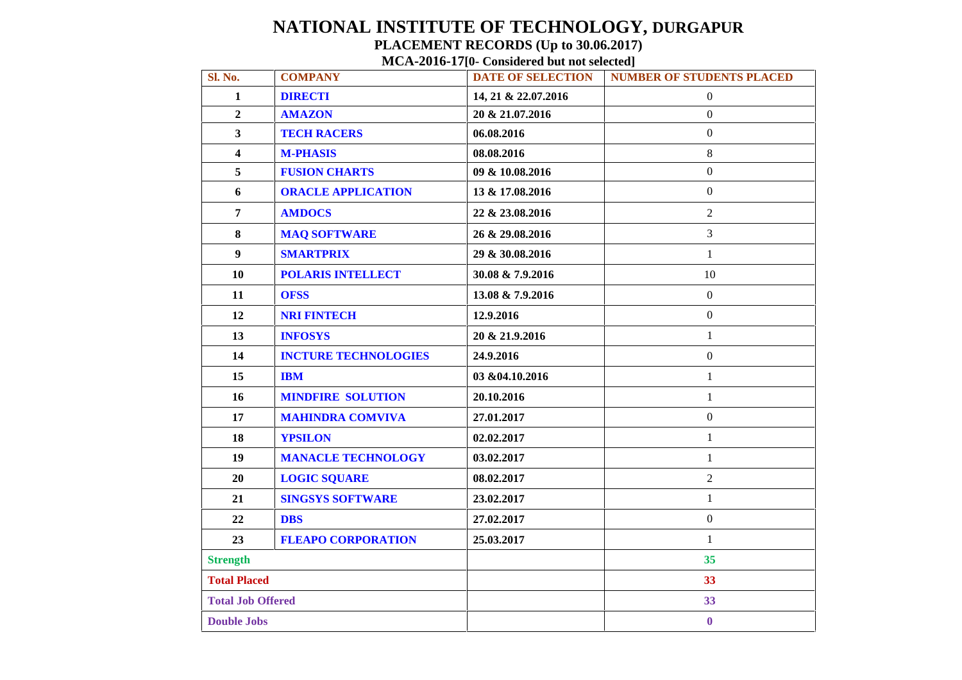# **NATIONAL INSTITUTE OF TECHNOLOGY, DURGAPUR PLACEMENT RECORDS (Up to 30.06.2017)**

#### **MCA-2016-17[0- Considered but not selected]**

| Sl. No.                  | <b>COMPANY</b>              | <b>DATE OF SELECTION</b> | <b>NUMBER OF STUDENTS PLACED</b> |
|--------------------------|-----------------------------|--------------------------|----------------------------------|
| $\mathbf{1}$             | <b>DIRECTI</b>              | 14, 21 & 22.07.2016      | $\mathbf{0}$                     |
| $\overline{2}$           | <b>AMAZON</b>               | 20 & 21.07.2016          | $\boldsymbol{0}$                 |
| $\overline{\mathbf{3}}$  | <b>TECH RACERS</b>          | 06.08.2016               | $\mathbf{0}$                     |
| $\overline{\mathbf{4}}$  | <b>M-PHASIS</b>             | 08.08.2016               | $\,8\,$                          |
| 5                        | <b>FUSION CHARTS</b>        | 09 & 10.08.2016          | $\mathbf{0}$                     |
| 6                        | <b>ORACLE APPLICATION</b>   | 13 & 17.08.2016          | $\boldsymbol{0}$                 |
| $\overline{7}$           | <b>AMDOCS</b>               | 22 & 23.08.2016          | $\overline{2}$                   |
| 8                        | <b>MAQ SOFTWARE</b>         | 26 & 29.08.2016          | $\overline{3}$                   |
| 9 <sup>°</sup>           | <b>SMARTPRIX</b>            | 29 & 30.08.2016          | $\mathbf{1}$                     |
| 10                       | <b>POLARIS INTELLECT</b>    | 30.08 & 7.9.2016         | 10                               |
| 11                       | <b>OFSS</b>                 | 13.08 & 7.9.2016         | $\boldsymbol{0}$                 |
| 12                       | <b>NRI FINTECH</b>          | 12.9.2016                | $\mathbf{0}$                     |
| 13                       | <b>INFOSYS</b>              | 20 & 21.9.2016           | $\mathbf{1}$                     |
| 14                       | <b>INCTURE TECHNOLOGIES</b> | 24.9.2016                | $\boldsymbol{0}$                 |
| 15                       | <b>IBM</b>                  | 03 & 04.10.2016          | $\mathbf{1}$                     |
| 16                       | <b>MINDFIRE SOLUTION</b>    | 20.10.2016               | $\mathbf{1}$                     |
| 17                       | <b>MAHINDRA COMVIVA</b>     | 27.01.2017               | $\boldsymbol{0}$                 |
| 18                       | <b>YPSILON</b>              | 02.02.2017               | $\mathbf{1}$                     |
| 19                       | <b>MANACLE TECHNOLOGY</b>   | 03.02.2017               | $\mathbf{1}$                     |
| 20                       | <b>LOGIC SQUARE</b>         | 08.02.2017               | $\overline{2}$                   |
| 21                       | <b>SINGSYS SOFTWARE</b>     | 23.02.2017               | $\mathbf{1}$                     |
| 22                       | <b>DBS</b>                  | 27.02.2017               | $\boldsymbol{0}$                 |
| 23                       | <b>FLEAPO CORPORATION</b>   | 25.03.2017               | $\mathbf{1}$                     |
| <b>Strength</b>          |                             |                          | 35                               |
| <b>Total Placed</b>      |                             |                          | 33                               |
| <b>Total Job Offered</b> |                             |                          | 33                               |
| <b>Double Jobs</b>       |                             |                          | $\boldsymbol{0}$                 |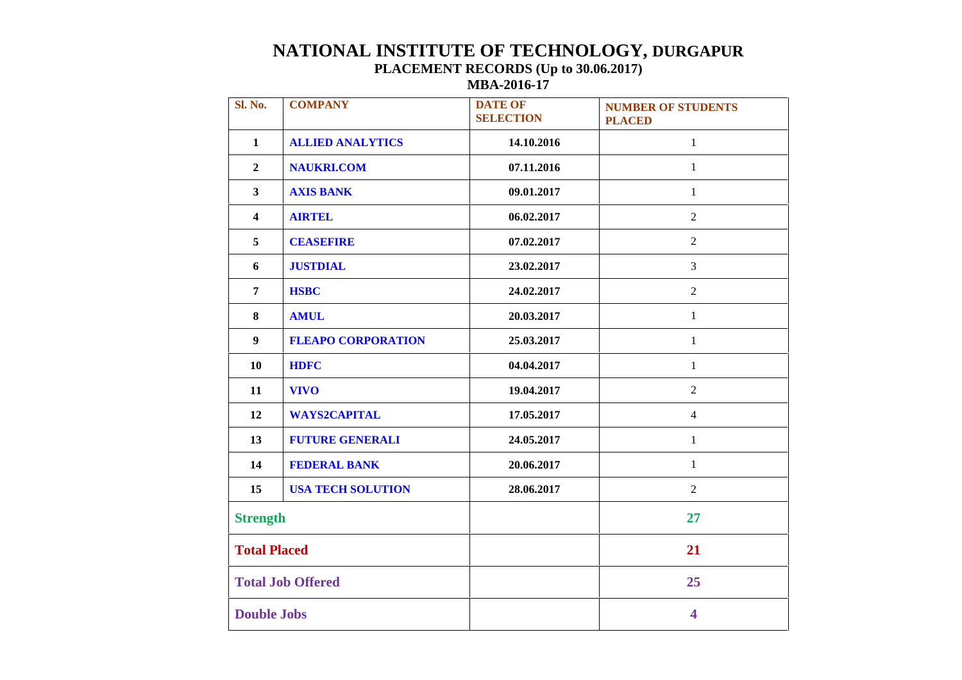## **NATIONAL INSTITUTE OF TECHNOLOGY, DURGAPUR PLACEMENT RECORDS (Up to 30.06.2017) MBA-2016-17**

| Sl. No.                 | <b>COMPANY</b>            | <b>DATE OF</b><br><b>SELECTION</b> | <b>NUMBER OF STUDENTS</b><br><b>PLACED</b> |
|-------------------------|---------------------------|------------------------------------|--------------------------------------------|
| $\mathbf{1}$            | <b>ALLIED ANALYTICS</b>   | 14.10.2016                         | $\mathbf{1}$                               |
| $\overline{2}$          | <b>NAUKRI.COM</b>         | 07.11.2016                         | $\mathbf{1}$                               |
| $\overline{\mathbf{3}}$ | <b>AXIS BANK</b>          | 09.01.2017                         | $\mathbf{1}$                               |
| $\overline{\mathbf{4}}$ | <b>AIRTEL</b>             | 06.02.2017                         | $\overline{2}$                             |
| 5                       | <b>CEASEFIRE</b>          | 07.02.2017                         | $\overline{2}$                             |
| 6                       | <b>JUSTDIAL</b>           | 23.02.2017                         | $\overline{3}$                             |
| $\overline{7}$          | <b>HSBC</b>               | 24.02.2017                         | $\overline{2}$                             |
| 8                       | <b>AMUL</b>               | 20.03.2017                         | $\mathbf{1}$                               |
| $\boldsymbol{9}$        | <b>FLEAPO CORPORATION</b> | 25.03.2017                         | $\mathbf{1}$                               |
| 10                      | <b>HDFC</b>               | 04.04.2017                         | $\mathbf{1}$                               |
| 11                      | <b>VIVO</b>               | 19.04.2017                         | $\overline{2}$                             |
| 12                      | <b>WAYS2CAPITAL</b>       | 17.05.2017                         | $\overline{4}$                             |
| 13                      | <b>FUTURE GENERALI</b>    | 24.05.2017                         | $\mathbf{1}$                               |
| 14                      | <b>FEDERAL BANK</b>       | 20.06.2017                         | $\mathbf{1}$                               |
| 15                      | <b>USA TECH SOLUTION</b>  | 28.06.2017                         | $\overline{2}$                             |
| <b>Strength</b>         |                           |                                    | 27                                         |
| <b>Total Placed</b>     |                           |                                    | 21                                         |
|                         | <b>Total Job Offered</b>  |                                    | 25                                         |
| <b>Double Jobs</b>      |                           |                                    | 4                                          |